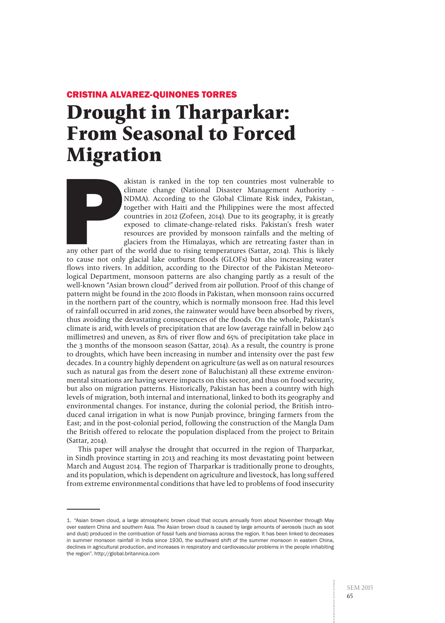# CRISTINA ALVAREZ-QUINONES TORRES **Drought in Tharparkar: From Seasonal to Forced Migration**

akistan is ranked in the top ten countries most vulnerable to climate change (National Disaster Management Authority - NDMA). According to the Global Climate Risk index, Pakistan, together with Haiti and the Philippines we climate change (National Disaster Management Authority - NDMA). According to the Global Climate Risk index, Pakistan, together with Haiti and the Philippines were the most affected countries in 2012 (Zofeen, 2014). Due to its geography, it is greatly exposed to climate-change-related risks. Pakistan's fresh water resources are provided by monsoon rainfalls and the melting of glaciers from the Himalayas, which are retreating faster than in

any other part of the world due to rising temperatures (Sattar, 2014). This is likely to cause not only glacial lake outburst floods (GLOFs) but also increasing water flows into rivers. In addition, according to the Director of the Pakistan Meteorological Department, monsoon patterns are also changing partly as a result of the well-known "Asian brown cloud<sup>1</sup>" derived from air pollution. Proof of this change of pattern might be found in the 2010 floods in Pakistan, when monsoon rains occurred in the northern part of the country, which is normally monsoon free. Had this level of rainfall occurred in arid zones, the rainwater would have been absorbed by rivers, thus avoiding the devastating consequences of the floods. On the whole, Pakistan's climate is arid, with levels of precipitation that are low (average rainfall in below 240 millimetres) and uneven, as 81% of river flow and 65% of precipitation take place in the 3 months of the monsoon season (Sattar, 2014). As a result, the country is prone to droughts, which have been increasing in number and intensity over the past few decades. In a country highly dependent on agriculture (as well as on natural resources such as natural gas from the desert zone of Baluchistan) all these extreme environmental situations are having severe impacts on this sector, and thus on food security, but also on migration patterns. Historically, Pakistan has been a country with high levels of migration, both internal and international, linked to both its geography and environmental changes. For instance, during the colonial period, the British introduced canal irrigation in what is now Punjab province, bringing farmers from the East; and in the post-colonial period, following the construction of the Mangla Dam the British offered to relocate the population displaced from the project to Britain (Sattar, 2014).

This paper will analyse the drought that occurred in the region of Tharparkar, in Sindh province starting in 2013 and reaching its most devastating point between March and August 2014. The region of Tharparkar is traditionally prone to droughts, and its population, which is dependent on agriculture and livestock, has long suffered from extreme environmental conditions that have led to problems of food insecurity

<sup>1. &</sup>quot;Asian brown cloud, a large atmospheric brown cloud that occurs annually from about November through May over eastern China and southern Asia. The Asian brown cloud is caused by large amounts of aerosols (such as soot and dust) produced in the combustion of fossil fuels and biomass across the region. It has been linked to decreases in summer monsoon rainfall in India since 1930, the southward shift of the summer monsoon in eastern China, declines in agricultural production, and increases in respiratory and cardiovascular problems in the people inhabiting the region". http://global.britannica.com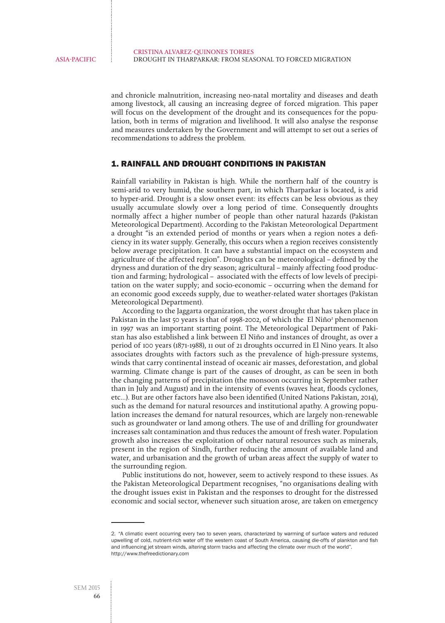and chronicle malnutrition, increasing neo-natal mortality and diseases and death among livestock, all causing an increasing degree of forced migration. This paper will focus on the development of the drought and its consequences for the population, both in terms of migration and livelihood. It will also analyse the response and measures undertaken by the Government and will attempt to set out a series of recommendations to address the problem.

## 1. RAINFALL AND DROUGHT CONDITIONS IN PAKISTAN

Rainfall variability in Pakistan is high. While the northern half of the country is semi-arid to very humid, the southern part, in which Tharparkar is located, is arid to hyper-arid. Drought is a slow onset event: its effects can be less obvious as they usually accumulate slowly over a long period of time. Consequently droughts normally affect a higher number of people than other natural hazards (Pakistan Meteorological Department). According to the Pakistan Meteorological Department a drought "is an extended period of months or years when a region notes a deficiency in its water supply. Generally, this occurs when a region receives consistently below average precipitation. It can have a substantial impact on the ecosystem and agriculture of the affected region". Droughts can be meteorological – defined by the dryness and duration of the dry season; agricultural – mainly affecting food production and farming; hydrological – associated with the effects of low levels of precipitation on the water supply; and socio-economic – occurring when the demand for an economic good exceeds supply, due to weather-related water shortages (Pakistan Meteorological Department).

According to the Jaggarta organization, the worst drought that has taken place in Pakistan in the last 50 years is that of 1998-2002, of which the El Niño<sup>2</sup> phenomenon in 1997 was an important starting point. The Meteorological Department of Pakistan has also established a link between El Niño and instances of drought, as over a period of 100 years (1871-1988), 11 out of 21 droughts occurred in El Nino years. It also associates droughts with factors such as the prevalence of high-pressure systems, winds that carry continental instead of oceanic air masses, deforestation, and global warming. Climate change is part of the causes of drought, as can be seen in both the changing patterns of precipitation (the monsoon occurring in September rather than in July and August) and in the intensity of events (waves heat, floods cyclones, etc…). But are other factors have also been identified (United Nations Pakistan, 2014), such as the demand for natural resources and institutional apathy. A growing population increases the demand for natural resources, which are largely non-renewable such as groundwater or land among others. The use of and drilling for groundwater increases salt contamination and thus reduces the amount of fresh water. Population growth also increases the exploitation of other natural resources such as minerals, present in the region of Sindh, further reducing the amount of available land and water, and urbanisation and the growth of urban areas affect the supply of water to the surrounding region.

Public institutions do not, however, seem to actively respond to these issues. As the Pakistan Meteorological Department recognises, "no organisations dealing with the drought issues exist in Pakistan and the responses to drought for the distressed economic and social sector, whenever such situation arose, are taken on emergency

<sup>2. &</sup>quot;A climatic event occurring every two to seven years, characterized by warming of surface waters and reduced upwelling of cold, nutrient-rich water off the western coast of South America, causing die-offs of plankton and fish and influencing jet stream winds, altering storm tracks and affecting the climate over much of the world". http://www.thefreedictionary.com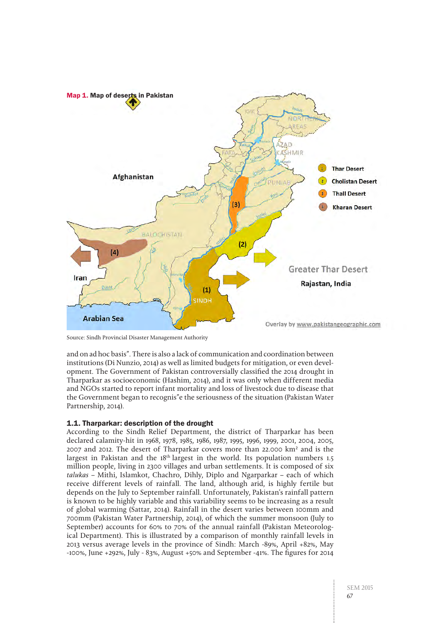

Source: Sindh Provincial Disaster Management Authority

and on ad hoc basis". There is also a lack of communication and coordination between institutions (Di Nunzio, 2014) as well as limited budgets for mitigation, or even development. The Government of Pakistan controversially classified the 2014 drought in Tharparkar as socioeconomic (Hashim, 2014), and it was only when different media and NGOs started to report infant mortality and loss of livestock due to disease that the Government began to recognis"e the seriousness of the situation (Pakistan Water Partnership, 2014).

#### 1.1. Tharparkar: description of the drought

According to the Sindh Relief Department, the district of Tharparkar has been declared calamity-hit in 1968, 1978, 1985, 1986, 1987, 1995, 1996, 1999, 2001, 2004, 2005, 2007 and 2012. The desert of Tharparkar covers more than 22.000 km² and is the largest in Pakistan and the 18<sup>th</sup> largest in the world. Its population numbers 1.5 million people, living in 2300 villages and urban settlements. It is composed of six talukas – Mithi, Islamkot, Chachro, Dihly, Diplo and Ngarparkar – each of which receive different levels of rainfall. The land, although arid, is highly fertile but depends on the July to September rainfall. Unfortunately, Pakistan's rainfall pattern is known to be highly variable and this variability seems to be increasing as a result of global warming (Sattar, 2014). Rainfall in the desert varies between 100mm and 700mm (Pakistan Water Partnership, 2014), of which the summer monsoon (July to September) accounts for 60% to 70% of the annual rainfall (Pakistan Meteorological Department). This is illustrated by a comparison of monthly rainfall levels in 2013 versus average levels in the province of Sindh: March -89%, April +82%, May -100%, June +292%, July - 83%, August +50% and September -41%. The figures for 2014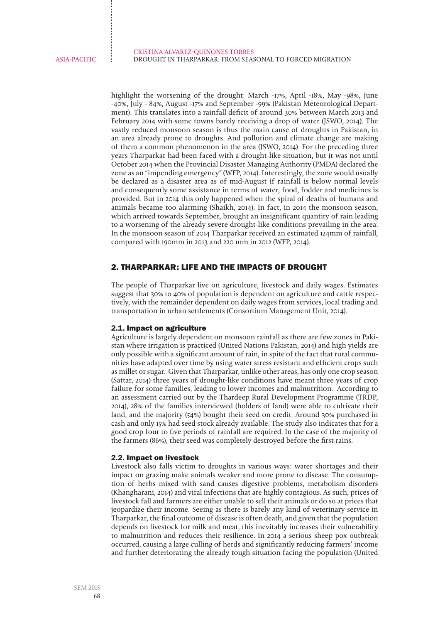highlight the worsening of the drought: March -17%, April -18%, May -98%, June -40%, July - 84%, August -17% and September -99% (Pakistan Meteorological Department). This translates into a rainfall deficit of around 30% between March 2013 and February 2014 with some towns barely receiving a drop of water (JSWO, 2014). The vastly reduced monsoon season is thus the main cause of droughts in Pakistan, in an area already prone to droughts. And pollution and climate change are making of them a common phenomenon in the area (JSWO, 2014). For the preceding three years Tharparkar had been faced with a drought-like situation, but it was not until October 2014 when the Provincial Disaster Managing Authority (PMDA) declared the zone as an "impending emergency" (WFP, 2014). Interestingly, the zone would usually be declared as a disaster area as of mid-August if rainfall is below normal levels and consequently some assistance in terms of water, food, fodder and medicines is provided. But in 2014 this only happened when the spiral of deaths of humans and animals became too alarming (Shaikh, 2014). In fact, in 2014 the monsoon season, which arrived towards September, brought an insignificant quantity of rain leading to a worsening of the already severe drought-like conditions prevailing in the area. In the monsoon season of 2014 Tharparkar received an estimated 124mm of rainfall, compared with 190mm in 2013 and 220 mm in 2012 (WFP, 2014).

## 2. THARPARKAR: LIFE AND THE IMPACTS OF DROUGHT

The people of Tharparkar live on agriculture, livestock and daily wages. Estimates suggest that 30% to 40% of population is dependent on agriculture and cattle respectively, with the remainder dependent on daily wages from services, local trading and transportation in urban settlements (Consortium Management Unit, 2014).

#### 2.1. Impact on agriculture

Agriculture is largely dependent on monsoon rainfall as there are few zones in Pakistan where irrigation is practiced (United Nations Pakistan, 2014) and high yields are only possible with a significant amount of rain, in spite of the fact that rural communities have adapted over time by using water stress resistant and efficient crops such as millet or sugar. Given that Tharparkar, unlike other areas, has only one crop season (Sattar, 2014) three years of drought-like conditions have meant three years of crop failure for some families, leading to lower incomes and malnutrition. According to an assessment carried out by the Thardeep Rural Development Programme (TRDP, 2014), 28% of the families interviewed (holders of land) were able to cultivate their land, and the majority (54%) bought their seed on credit. Around 30% purchased in cash and only 15% had seed stock already available. The study also indicates that for a good crop four to five periods of rainfall are required. In the case of the majority of the farmers (86%), their seed was completely destroyed before the first rains.

#### 2.2. Impact on livestock

Livestock also falls victim to droughts in various ways: water shortages and their impact on grazing make animals weaker and more prone to disease. The consumption of herbs mixed with sand causes digestive problems, metabolism disorders (Khangharani, 2014) and viral infections that are highly contagious. As such, prices of livestock fall and farmers are either unable to sell their animals or do so at prices that jeopardize their income. Seeing as there is barely any kind of veterinary service in Tharparkar, the final outcome of disease is often death, and given that the population depends on livestock for milk and meat, this inevitably increases their vulnerability to malnutrition and reduces their resilience. In 2014 a serious sheep pox outbreak occurred, causing a large culling of herds and significantly reducing farmers' income and further deteriorating the already tough situation facing the population (United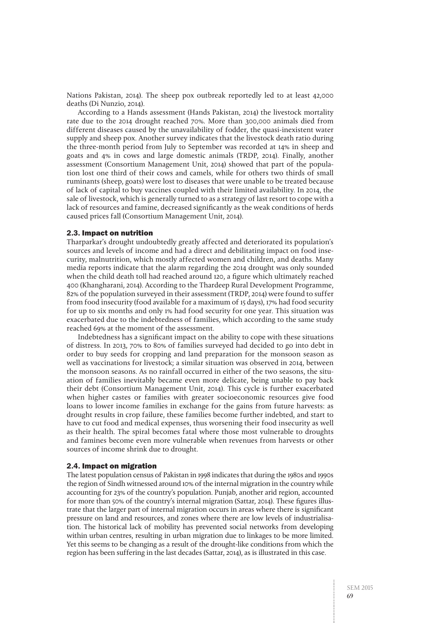Nations Pakistan, 2014). The sheep pox outbreak reportedly led to at least 42,000 deaths (Di Nunzio, 2014).

According to a Hands assessment (Hands Pakistan, 2014) the livestock mortality rate due to the 2014 drought reached 70%. More than 300,000 animals died from different diseases caused by the unavailability of fodder, the quasi-inexistent water supply and sheep pox. Another survey indicates that the livestock death ratio during the three-month period from July to September was recorded at 14% in sheep and goats and 4% in cows and large domestic animals (TRDP, 2014). Finally, another assessment (Consortium Management Unit, 2014) showed that part of the population lost one third of their cows and camels, while for others two thirds of small ruminants (sheep, goats) were lost to diseases that were unable to be treated because of lack of capital to buy vaccines coupled with their limited availability. In 2014, the sale of livestock, which is generally turned to as a strategy of last resort to cope with a lack of resources and famine, decreased significantly as the weak conditions of herds caused prices fall (Consortium Management Unit, 2014).

#### 2.3. Impact on nutrition

Tharparkar's drought undoubtedly greatly affected and deteriorated its population's sources and levels of income and had a direct and debilitating impact on food insecurity, malnutrition, which mostly affected women and children, and deaths. Many media reports indicate that the alarm regarding the 2014 drought was only sounded when the child death toll had reached around 120, a figure which ultimately reached 400 (Khangharani, 2014). According to the Thardeep Rural Development Programme, 82% of the population surveyed in their assessment (TRDP, 2014) were found to suffer from food insecurity (food available for a maximum of 15 days), 17% had food security for up to six months and only 1% had food security for one year. This situation was exacerbated due to the indebtedness of families, which according to the same study reached 69% at the moment of the assessment.

Indebtedness has a significant impact on the ability to cope with these situations of distress. In 2013, 70% to 80% of families surveyed had decided to go into debt in order to buy seeds for cropping and land preparation for the monsoon season as well as vaccinations for livestock; a similar situation was observed in 2014, between the monsoon seasons. As no rainfall occurred in either of the two seasons, the situation of families inevitably became even more delicate, being unable to pay back their debt (Consortium Management Unit, 2014). This cycle is further exacerbated when higher castes or families with greater socioeconomic resources give food loans to lower income families in exchange for the gains from future harvests: as drought results in crop failure, these families become further indebted, and start to have to cut food and medical expenses, thus worsening their food insecurity as well as their health. The spiral becomes fatal where those most vulnerable to droughts and famines become even more vulnerable when revenues from harvests or other sources of income shrink due to drought.

#### 2.4. Impact on migration

The latest population census of Pakistan in 1998 indicates that during the 1980s and 1990s the region of Sindh witnessed around 10% of the internal migration in the country while accounting for 23% of the country's population. Punjab, another arid region, accounted for more than 50% of the country's internal migration (Sattar, 2014). These figures illustrate that the larger part of internal migration occurs in areas where there is significant pressure on land and resources, and zones where there are low levels of industrialisation. The historical lack of mobility has prevented social networks from developing within urban centres, resulting in urban migration due to linkages to be more limited. Yet this seems to be changing as a result of the drought-like conditions from which the region has been suffering in the last decades (Sattar, 2014), as is illustrated in this case.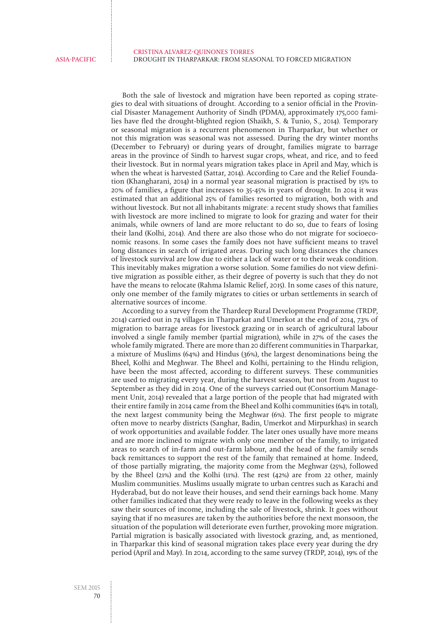Both the sale of livestock and migration have been reported as coping strategies to deal with situations of drought. According to a senior official in the Provincial Disaster Management Authority of Sindh (PDMA), approximately 175,000 families have fled the drought-blighted region (Shaikh, [S. & Tunio,](http://www.trust.org/profile/?id=003D000001BGCJEIA5) S., 2014). Temporary or seasonal migration is a recurrent phenomenon in Tharparkar, but whether or not this migration was seasonal was not assessed. During the dry winter months (December to February) or during years of drought, families migrate to barrage areas in the province of Sindh to harvest sugar crops, wheat, and rice, and to feed their livestock. But in normal years migration takes place in April and May, which is when the wheat is harvested (Sattar, 2014). According to Care and the Relief Foundation (Khangharani, 2014) in a normal year seasonal migration is practised by 15% to 20% of families, a figure that increases to 35-45% in years of drought. In 2014 it was estimated that an additional 25% of families resorted to migration, both with and without livestock. But not all inhabitants migrate: a recent study shows that families with livestock are more inclined to migrate to look for grazing and water for their animals, while owners of land are more reluctant to do so, due to fears of losing their land (Kolhi, 2014). And there are also those who do not migrate for socioeconomic reasons. In some cases the family does not have sufficient means to travel long distances in search of irrigated areas. During such long distances the chances of livestock survival are low due to either a lack of water or to their weak condition. This inevitably makes migration a worse solution. Some families do not view definitive migration as possible either, as their degree of poverty is such that they do not have the means to relocate (Rahma Islamic Relief, 2015). In some cases of this nature, only one member of the family migrates to cities or urban settlements in search of alternative sources of income.

According to a survey from the Thardeep Rural Development Programme (TRDP, 2014) carried out in 74 villages in Tharparkat and Umerkot at the end of 2014, 73% of migration to barrage areas for livestock grazing or in search of agricultural labour involved a single family member (partial migration), while in 27% of the cases the whole family migrated. There are more than 20 different communities in Tharparkar, a mixture of Muslims (64%) and Hindus (36%), the largest denominations being the Bheel, Kolhi and Meghwar. The Bheel and Kolhi, pertaining to the Hindu religion, have been the most affected, according to different surveys. These communities are used to migrating every year, during the harvest season, but not from August to September as they did in 2014. One of the surveys carried out (Consortium Management Unit, 2014) revealed that a large portion of the people that had migrated with their entire family in 2014 came from the Bheel and Kolhi communities (64% in total), the next largest community being the Meghwar (6%). The first people to migrate often move to nearby districts (Sanghar, Badin, Umerkot and Mirpurkhas) in search of work opportunities and available fodder. The later ones usually have more means and are more inclined to migrate with only one member of the family, to irrigated areas to search of in-farm and out-farm labour, and the head of the family sends back remittances to support the rest of the family that remained at home. Indeed, of those partially migrating, the majority come from the Meghwar (25%), followed by the Bheel (21%) and the Kolhi (11%). The rest (42%) are from 22 other, mainly Muslim communities. Muslims usually migrate to urban centres such as Karachi and Hyderabad, but do not leave their houses, and send their earnings back home. Many other families indicated that they were ready to leave in the following weeks as they saw their sources of income, including the sale of livestock, shrink. It goes without saying that if no measures are taken by the authorities before the next monsoon, the situation of the population will deteriorate even further, provoking more migration. Partial migration is basically associated with livestock grazing, and, as mentioned, in Tharparkar this kind of seasonal migration takes place every year during the dry period (April and May). In 2014, according to the same survey (TRDP, 2014), 19% of the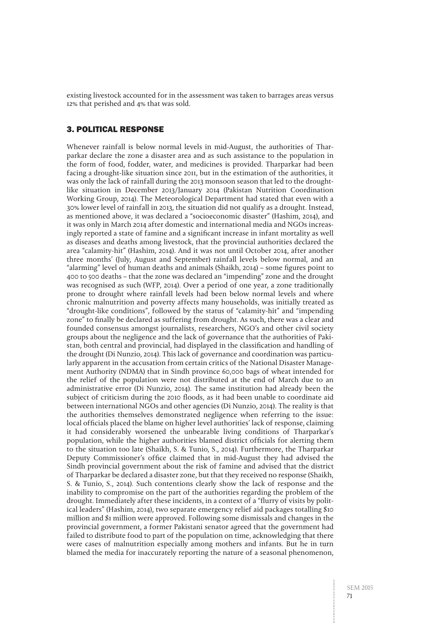existing livestock accounted for in the assessment was taken to barrages areas versus 12% that perished and 4% that was sold.

### 3. POLITICAL RESPONSE

Whenever rainfall is below normal levels in mid-August, the authorities of Tharparkar declare the zone a disaster area and as such assistance to the population in the form of food, fodder, water, and medicines is provided. Tharparkar had been facing a drought-like situation since 2011, but in the estimation of the authorities, it was only the lack of rainfall during the 2013 monsoon season that led to the droughtlike situation in December 2013/January 2014 (Pakistan Nutrition Coordination Working Group, 2014). The Meteorological Department had stated that even with a 30% lower level of rainfall in 2013, the situation did not qualify as a drought. Instead, as mentioned above, it was declared a "socioeconomic disaster" (Hashim, 2014), and it was only in March 2014 after domestic and international media and NGOs increasingly reported a state of famine and a significant increase in infant mortality as well as diseases and deaths among livestock, that the provincial authorities declared the area "calamity-hit" (Hashim, 2014). And it was not until October 2014, after another three months' (July, August and September) rainfall levels below normal, and an "alarming" level of human deaths and animals (Shaikh, 2014) – some figures point to 400 to 500 deaths – that the zone was declared an "impending" zone and the drought was recognised as such (WFP, 2014). Over a period of one year, a zone traditionally prone to drought where rainfall levels had been below normal levels and where chronic malnutrition and poverty affects many households, was initially treated as "drought-like conditions", followed by the status of "calamity-hit" and "impending zone" to finally be declared as suffering from drought. As such, there was a clear and founded consensus amongst journalists, researchers, NGO's and other civil society groups about the negligence and the lack of governance that the authorities of Pakistan, both central and provincial, had displayed in the classification and handling of the drought (Di Nunzio, 2014). This lack of governance and coordination was particularly apparent in the accusation from certain critics of the National Disaster Management Authority (NDMA) that in Sindh province 60,000 bags of wheat intended for the relief of the population were not distributed at the end of March due to an administrative error (Di Nunzio, 2014). The same institution had already been the subject of criticism during the 2010 floods, as it had been unable to coordinate aid between international NGOs and other agencies (Di Nunzio, 2014). The reality is that the authorities themselves demonstrated negligence when referring to the issue: local officials placed the blame on higher level authorities' lack of response, claiming it had considerably worsened the unbearable living conditions of Tharparkar's population, while the higher authorities blamed district officials for alerting them to the situation too late (Shaikh, [S. & Tunio,](http://www.trust.org/profile/?id=003D000001BGCJEIA5) S., 2014). Furthermore, the Tharparkar Deputy Commissioner's office claimed that in mid-August they had advised the Sindh provincial government about the risk of famine and advised that the district of Tharparkar be declared a disaster zone, but that they received no response (Shaikh, [S. & Tunio,](http://www.trust.org/profile/?id=003D000001BGCJEIA5) S., 2014). Such contentions clearly show the lack of response and the inability to compromise on the part of the authorities regarding the problem of the drought. Immediately after these incidents, in a context of a "flurry of visits by political leaders" (Hashim, 2014), two separate emergency relief aid packages totalling \$10 million and \$1 million were approved. Following some dismissals and changes in the provincial government, a former Pakistani senator agreed that the government had failed to distribute food to part of the population on time, acknowledging that there were cases of malnutrition especially among mothers and infants. But he in turn blamed the media for inaccurately reporting the nature of a seasonal phenomenon,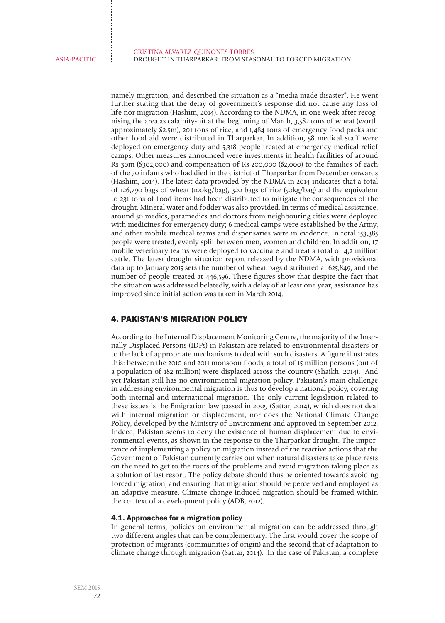namely migration, and described the situation as a "media made disaster". He went further stating that the delay of government's response did not cause any loss of life nor migration (Hashim, 2014). According to the NDMA, in one week after recognising the area as calamity-hit at the beginning of March, 3,582 tons of wheat (worth approximately \$2.5m), 201 tons of rice, and 1,484 tons of emergency food packs and other food aid were distributed in Tharparkar. In addition, 58 medical staff were deployed on emergency duty and 5,318 people treated at emergency medical relief camps. Other measures announced were investments in health facilities of around Rs 30m (\$302,000) and compensation of Rs 200,000 (\$2,000) to the families of each of the 70 infants who had died in the district of Tharparkar from December onwards (Hashim, 2014). The latest data provided by the NDMA in 2014 indicates that a total of 126,790 bags of wheat (100kg/bag), 320 bags of rice (50kg/bag) and the equivalent to 231 tons of food items had been distributed to mitigate the consequences of the drought. Mineral water and fodder was also provided. In terms of medical assistance, around 50 medics, paramedics and doctors from neighbouring cities were deployed with medicines for emergency duty; 6 medical camps were established by the Army, and other mobile medical teams and dispensaries were in evidence. In total 153,385 people were treated, evenly split between men, women and children. In addition, 17 mobile veterinary teams were deployed to vaccinate and treat a total of 4,2 million cattle. The latest drought situation report released by the NDMA, with provisional data up to January 2015 sets the number of wheat bags distributed at 625,849, and the number of people treated at 446,596. These figures show that despite the fact that the situation was addressed belatedly, with a delay of at least one year, assistance has improved since initial action was taken in March 2014.

## 4. PAKISTAN'S MIGRATION POLICY

According to the Internal Displacement Monitoring Centre, the majority of the Internally Displaced Persons (IDPs) in Pakistan are related to environmental disasters or to the lack of appropriate mechanisms to deal with such disasters. A figure illustrates this: between the 2010 and 2011 monsoon floods, a total of 15 million persons (out of a population of 182 million) were displaced across the country (Shaikh, 2014). And yet Pakistan still has no environmental migration policy. Pakistan's main challenge in addressing environmental migration is thus to develop a national policy, covering both internal and international migration. The only current legislation related to these issues is the Emigration law passed in 2009 (Sattar, 2014), which does not deal with internal migration or displacement, nor does the National Climate Change Policy, developed by the Ministry of Environment and approved in September 2012. Indeed, Pakistan seems to deny the existence of human displacement due to environmental events, as shown in the response to the Tharparkar drought. The importance of implementing a policy on migration instead of the reactive actions that the Government of Pakistan currently carries out when natural disasters take place rests on the need to get to the roots of the problems and avoid migration taking place as a solution of last resort. The policy debate should thus be oriented towards avoiding forced migration, and ensuring that migration should be perceived and employed as an adaptive measure. Climate change-induced migration should be framed within the context of a development policy (ADB, 2012).

#### 4.1. Approaches for a migration policy

In general terms, policies on environmental migration can be addressed through two different angles that can be complementary. The first would cover the scope of protection of migrants (communities of origin) and the second that of adaptation to climate change through migration (Sattar, 2014). In the case of Pakistan, a complete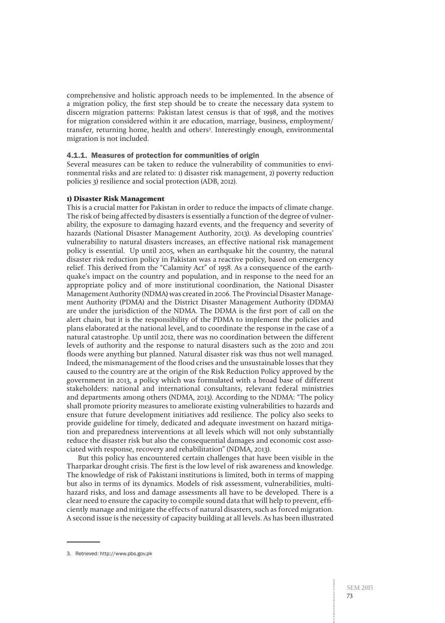comprehensive and holistic approach needs to be implemented. In the absence of a migration policy, the first step should be to create the necessary data system to discern migration patterns: Pakistan latest census is that of 1998, and the motives for migration considered within it are education, marriage, business, employment/ transfer, returning home, health and others3 . Interestingly enough, environmental migration is not included.

#### 4.1.1. Measures of protection for communities of origin

Several measures can be taken to reduce the vulnerability of communities to environmental risks and are related to: 1) disaster risk management, 2) poverty reduction policies 3) resilience and social protection (ADB, 2012).

#### **1) Disaster Risk Management**

This is a crucial matter for Pakistan in order to reduce the impacts of climate change. The risk of being affected by disasters is essentially a function of the degree of vulnerability, the exposure to damaging hazard events, and the frequency and severity of hazards (National Disaster Management Authority, 2013). As developing countries' vulnerability to natural disasters increases, an effective national risk management policy is essential. Up until 2005, when an earthquake hit the country, the natural disaster risk reduction policy in Pakistan was a reactive policy, based on emergency relief. This derived from the "Calamity Act" of 1958. As a consequence of the earthquake's impact on the country and population, and in response to the need for an appropriate policy and of more institutional coordination, the National Disaster Management Authority (NDMA) was created in 2006. The Provincial Disaster Management Authority (PDMA) and the District Disaster Management Authority (DDMA) are under the jurisdiction of the NDMA. The DDMA is the first port of call on the alert chain, but it is the responsibility of the PDMA to implement the policies and plans elaborated at the national level, and to coordinate the response in the case of a natural catastrophe. Up until 2012, there was no coordination between the different levels of authority and the response to natural disasters such as the 2010 and 2011 floods were anything but planned. Natural disaster risk was thus not well managed. Indeed, the mismanagement of the flood crises and the unsustainable losses that they caused to the country are at the origin of the Risk Reduction Policy approved by the government in 2013, a policy which was formulated with a broad base of different stakeholders: national and international consultants, relevant federal ministries and departments among others (NDMA, 2013). According to the NDMA: "The policy shall promote priority measures to ameliorate existing vulnerabilities to hazards and ensure that future development initiatives add resilience. The policy also seeks to provide guideline for timely, dedicated and adequate investment on hazard mitigation and preparedness interventions at all levels which will not only substantially reduce the disaster risk but also the consequential damages and economic cost associated with response, recovery and rehabilitation" (NDMA, 2013).

But this policy has encountered certain challenges that have been visible in the Tharparkar drought crisis. The first is the low level of risk awareness and knowledge. The knowledge of risk of Pakistani institutions is limited, both in terms of mapping but also in terms of its dynamics. Models of risk assessment, vulnerabilities, multihazard risks, and loss and damage assessments all have to be developed. There is a clear need to ensure the capacity to compile sound data that will help to prevent, efficiently manage and mitigate the effects of natural disasters, such as forced migration. A second issue is the necessity of capacity building at all levels. As has been illustrated

<sup>3.</sup> Retrieved: <http://www.pbs.gov.pk>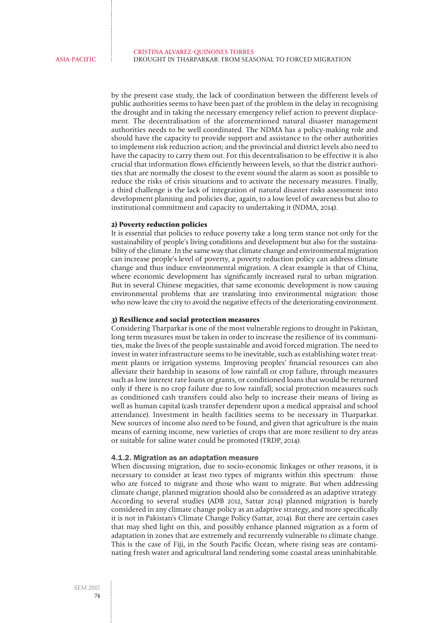by the present case study, the lack of coordination between the different levels of public authorities seems to have been part of the problem in the delay in recognising the drought and in taking the necessary emergency relief action to prevent displacement. The decentralisation of the aforementioned natural disaster management authorities needs to be well coordinated. The NDMA has a policy-making role and should have the capacity to provide support and assistance to the other authorities to implement risk reduction action; and the provincial and district levels also need to have the capacity to carry them out. For this decentralisation to be effective it is also crucial that information flows efficiently between levels, so that the district authorities that are normally the closest to the event sound the alarm as soon as possible to reduce the risks of crisis situations and to activate the necessary measures. Finally, a third challenge is the lack of integration of natural disaster risks assessment into development planning and policies due, again, to a low level of awareness but also to institutional commitment and capacity to undertaking it (NDMA, 2014).

#### **2) Poverty reduction policies**

It is essential that policies to reduce poverty take a long term stance not only for the sustainability of people's living conditions and development but also for the sustainability of the climate. In the same way that climate change and environmental migration can increase people's level of poverty, a poverty reduction policy can address climate change and thus induce environmental migration. A clear example is that of China, where economic development has significantly increased rural to urban migration. But in several Chinese megacities, that same economic development is now causing environmental problems that are translating into environmental migration: those who now leave the city to avoid the negative effects of the deteriorating environment.

#### **3) Resilience and social protection measures**

Considering Tharparkar is one of the most vulnerable regions to drought in Pakistan, long term measures must be taken in order to increase the resilience of its communities, make the lives of the people sustainable and avoid forced migration. The need to invest in water infrastructure seems to be inevitable, such as establishing water treatment plants or irrigation systems. Improving peoples' financial resources can also alleviate their hardship in seasons of low rainfall or crop failure, through measures such as low interest rate loans or grants, or conditioned loans that would be returned only if there is no crop failure due to low rainfall; social protection measures such as conditioned cash transfers could also help to increase their means of living as well as human capital (cash transfer dependent upon a medical appraisal and school attendance). Investment in health facilities seems to be necessary in Tharparkar. New sources of income also need to be found, and given that agriculture is the main means of earning income, new varieties of crops that are more resilient to dry areas or suitable for saline water could be promoted (TRDP, 2014).

#### 4.1.2. Migration as an adaptation measure

When discussing migration, due to socio-economic linkages or other reasons, it is necessary to consider at least two types of migrants within this spectrum: those who are forced to migrate and those who want to migrate. But when addressing climate change, planned migration should also be considered as an adaptive strategy. According to several studies (ADB 2012, Sattar 2014) planned migration is barely considered in any climate change policy as an adaptive strategy, and more specifically it is not in Pakistan's Climate Change Policy (Sattar, 2014). But there are certain cases that may shed light on this, and possibly enhance planned migration as a form of adaptation in zones that are extremely and recurrently vulnerable to climate change. This is the case of Fiji, in the South Pacific Ocean, where rising seas are contaminating fresh water and agricultural land rendering some coastal areas uninhabitable.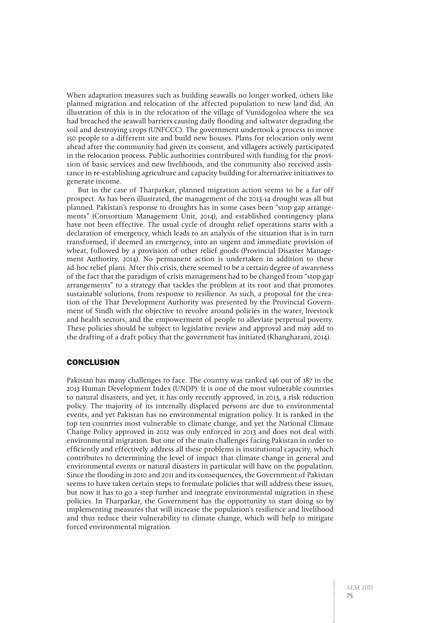When adaptation measures such as building seawalls no longer worked, others like planned migration and relocation of the affected population to new land did. An illustration of this is in the relocation of the village of Vunidogoloa where the sea had breached the seawall barriers causing daily flooding and saltwater degrading the soil and destroying crops (UNFCCC). The government undertook a process to move 150 people to a different site and build new houses. Plans for relocation only went ahead after the community had given its consent, and villagers actively participated in the relocation process. Public authorities contributed with funding for the provision of basic services and new livelihoods, and the community also received assistance in re-establishing agriculture and capacity building for alternative initiatives to generate income.

But in the case of Tharparkar, planned migration action seems to be a far off prospect. As has been illustrated, the management of the 2013-14 drought was all but planned. Pakistan's response to droughts has in some cases been "stop gap arrangements" (Consortium Management Unit, 2014), and established contingency plans have not been effective. The usual cycle of drought relief operations starts with a declaration of emergency, which leads to an analysis of the situation that is in turn transformed, if deemed an emergency, into an urgent and immediate provision of wheat, followed by a provision of other relief goods (Provincial Disaster Management Authority, 2014). No permanent action is undertaken in addition to these ad-hoc relief plans. After this crisis, there seemed to be a certain degree of awareness of the fact that the paradigm of crisis management had to be changed from "stop gap arrangements" to a strategy that tackles the problem at its root and that promotes sustainable solutions, from response to resilience. As such, a proposal for the creation of the Thar Development Authority was presented by the Provincial Government of Sindh with the objective to revolve around policies in the water, livestock and health sectors, and the empowerment of people to alleviate perpetual poverty. These policies should be subject to legislative review and approval and may add to the drafting of a draft policy that the government has initiated (Khangharani, 2014).

## **CONCLUSION**

Pakistan has many challenges to face. The country was ranked 146 out of 187 in the 2013 Human Development Index (UNDP). It is one of the most vulnerable countries to natural disasters, and yet, it has only recently approved, in 2013, a risk reduction policy. The majority of its internally displaced persons are due to environmental events, and yet Pakistan has no environmental migration policy. It is ranked in the top ten countries most vulnerable to climate change, and yet the National Climate Change Policy approved in 2012 was only enforced in 2013 and does not deal with environmental migration. But one of the main challenges facing Pakistan in order to efficiently and effectively address all these problems is institutional capacity, which contributes to determining the level of impact that climate change in general and environmental events or natural disasters in particular will have on the population. Since the flooding in 2010 and 2011 and its consequences, the Government of Pakistan seems to have taken certain steps to formulate policies that will address these issues, but now it has to go a step further and integrate environmental migration in these policies. In Tharparkar, the Government has the opportunity to start doing so by implementing measures that will increase the population's resilience and livelihood and thus reduce their vulnerability to climate change, which will help to mitigate forced environmental migration.